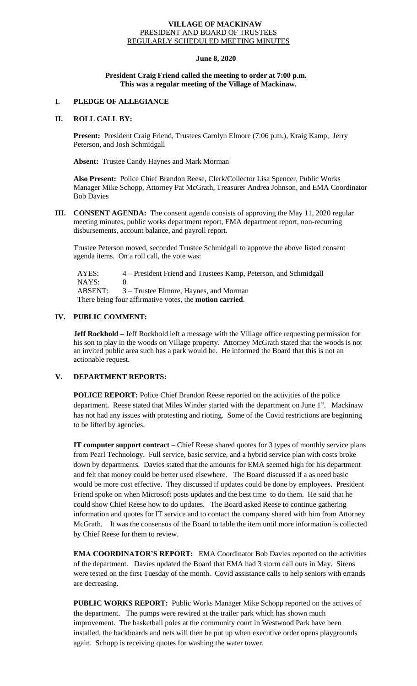### **VILLAGE OF MACKINAW** PRESIDENT AND BOARD OF TRUSTEES REGULARLY SCHEDULED MEETING MINUTES

## **June 8, 2020**

## **President Craig Friend called the meeting to order at 7:00 p.m. This was a regular meeting of the Village of Mackinaw.**

# **I. PLEDGE OF ALLEGIANCE**

## **II. ROLL CALL BY:**

**Present:** President Craig Friend, Trustees Carolyn Elmore (7:06 p.m.), Kraig Kamp, Jerry Peterson, and Josh Schmidgall

**Absent:** Trustee Candy Haynes and Mark Morman

**Also Present:** Police Chief Brandon Reese, Clerk/Collector Lisa Spencer, Public Works Manager Mike Schopp, Attorney Pat McGrath, Treasurer Andrea Johnson, and EMA Coordinator Bob Davies

**III. CONSENT AGENDA:** The consent agenda consists of approving the May 11, 2020 regular meeting minutes, public works department report, EMA department report, non-recurring disbursements, account balance, and payroll report.

Trustee Peterson moved, seconded Trustee Schmidgall to approve the above listed consent agenda items. On a roll call, the vote was:

 AYES: 4 – President Friend and Trustees Kamp, Peterson, and Schmidgall NAYS: 0 ABSENT: 3 – Trustee Elmore, Haynes, and Morman There being four affirmative votes, the **motion carried**.

# **IV. PUBLIC COMMENT:**

**Jeff Rockhold** – Jeff Rockhold left a message with the Village office requesting permission for his son to play in the woods on Village property. Attorney McGrath stated that the woods is not an invited public area such has a park would be. He informed the Board that this is not an actionable request.

## **V. DEPARTMENT REPORTS:**

**POLICE REPORT:** Police Chief Brandon Reese reported on the activities of the police department. Reese stated that Miles Winder started with the department on June 1<sup>st</sup>. Mackinaw has not had any issues with protesting and rioting. Some of the Covid restrictions are beginning to be lifted by agencies.

**IT computer support contract –** Chief Reese shared quotes for 3 types of monthly service plans from Pearl Technology. Full service, basic service, and a hybrid service plan with costs broke down by departments. Davies stated that the amounts for EMA seemed high for his department and felt that money could be better used elsewhere. The Board discussed if a as need basic would be more cost effective. They discussed if updates could be done by employees. President Friend spoke on when Microsoft posts updates and the best time to do them. He said that he could show Chief Reese how to do updates. The Board asked Reese to continue gathering information and quotes for IT service and to contact the company shared with him from Attorney McGrath. It was the consensus of the Board to table the item until more information is collected by Chief Reese for them to review.

**EMA COORDINATOR'S REPORT:** EMA Coordinator Bob Davies reported on the activities of the department. Davies updated the Board that EMA had 3 storm call outs in May. Sirens were tested on the first Tuesday of the month. Covid assistance calls to help seniors with errands are decreasing.

**PUBLIC WORKS REPORT:** Public Works Manager Mike Schopp reported on the actives of the department. The pumps were rewired at the trailer park which has shown much improvement. The basketball poles at the community court in Westwood Park have been installed, the backboards and nets will then be put up when executive order opens playgrounds again. Schopp is receiving quotes for washing the water tower.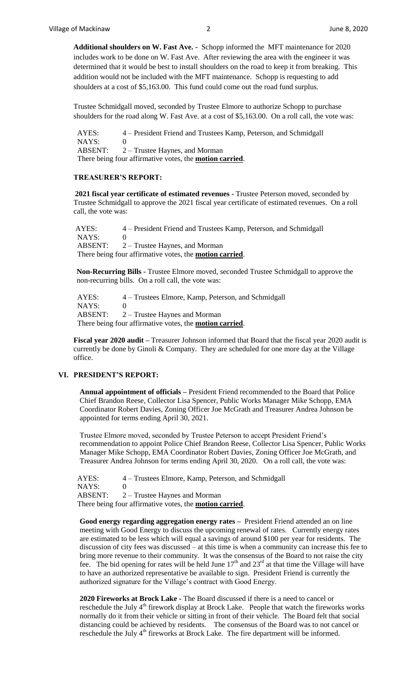**Additional shoulders on W. Fast Ave. -** Schopp informed the MFT maintenance for 2020 includes work to be done on W. Fast Ave. After reviewing the area with the engineer it was determined that it would be best to install shoulders on the road to keep it from breaking. This addition would not be included with the MFT maintenance. Schopp is requesting to add shoulders at a cost of \$5,163.00. This fund could come out the road fund surplus.

Trustee Schmidgall moved, seconded by Trustee Elmore to authorize Schopp to purchase shoulders for the road along W. Fast Ave. at a cost of \$5,163.00. On a roll call, the vote was:

 AYES: 4 – President Friend and Trustees Kamp, Peterson, and Schmidgall NAYS: 0 ABSENT: 2 – Trustee Haynes, and Morman There being four affirmative votes, the **motion carried**.

#### **TREASURER'S REPORT:**

**2021 fiscal year certificate of estimated revenues -** Trustee Peterson moved, seconded by Trustee Schmidgall to approve the 2021 fiscal year certificate of estimated revenues. On a roll call, the vote was:

AYES: 4 – President Friend and Trustees Kamp, Peterson, and Schmidgall NAYS: 0 ABSENT: 2 – Trustee Haynes, and Morman There being four affirmative votes, the **motion carried**.

**Non-Recurring Bills -** Trustee Elmore moved, seconded Trustee Schmidgall to approve the non-recurring bills. On a roll call, the vote was:

 AYES: 4 – Trustees Elmore, Kamp, Peterson, and Schmidgall NAYS: 0 ABSENT: 2 – Trustee Haynes and Morman There being four affirmative votes, the **motion carried**.

**Fiscal year 2020 audit –** Treasurer Johnson informed that Board that the fiscal year 2020 audit is currently be done by Ginoli & Company. They are scheduled for one more day at the Village office.

## **VI. PRESIDENT'S REPORT:**

**Annual appointment of officials –** President Friend recommended to the Board that Police Chief Brandon Reese, Collector Lisa Spencer, Public Works Manager Mike Schopp, EMA Coordinator Robert Davies, Zoning Officer Joe McGrath and Treasurer Andrea Johnson be appointed for terms ending April 30, 2021.

Trustee Elmore moved, seconded by Trustee Peterson to accept President Friend's recommendation to appoint Police Chief Brandon Reese, Collector Lisa Spencer, Public Works Manager Mike Schopp, EMA Coordinator Robert Davies, Zoning Officer Joe McGrath, and Treasurer Andrea Johnson for terms ending April 30, 2020. On a roll call, the vote was:

 AYES: 4 – Trustees Elmore, Kamp, Peterson, and Schmidgall NAYS: 0 ABSENT: 2 – Trustee Haynes and Morman There being four affirmative votes, the **motion carried**.

**Good energy regarding aggregation energy rates –** President Friend attended an on line meeting with Good Energy to discuss the upcoming renewal of rates. Currently energy rates are estimated to be less which will equal a savings of around \$100 per year for residents. The discussion of city fees was discussed – at this time is when a community can increase this fee to bring more revenue to their community. It was the consensus of the Board to not raise the city fee. The bid opening for rates will be held June  $17<sup>th</sup>$  and  $23<sup>rd</sup>$  at that time the Village will have to have an authorized representative be available to sign. President Friend is currently the authorized signature for the Village's contract with Good Energy.

**2020 Fireworks at Brock Lake -** The Board discussed if there is a need to cancel or reschedule the July 4<sup>th</sup> firework display at Brock Lake. People that watch the fireworks works normally do it from their vehicle or sitting in front of their vehicle. The Board felt that social distancing could be achieved by residents. The consensus of the Board was to not cancel or reschedule the July  $4<sup>th</sup>$  fireworks at Brock Lake. The fire department will be informed.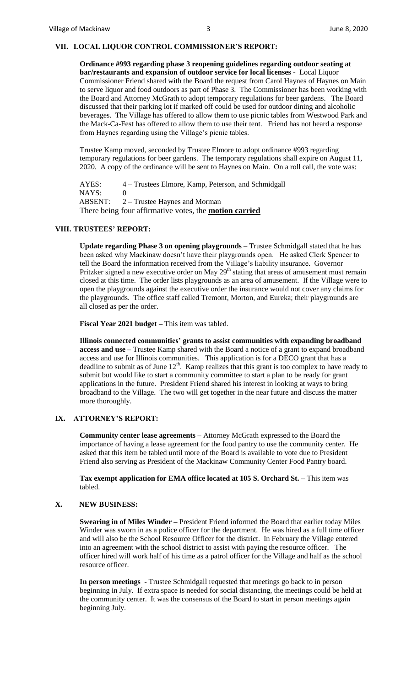# **VII. LOCAL LIQUOR CONTROL COMMISSIONER'S REPORT:**

**Ordinance #993 regarding phase 3 reopening guidelines regarding outdoor seating at bar/restaurants and expansion of outdoor service for local licenses -** Local Liquor Commissioner Friend shared with the Board the request from Carol Haynes of Haynes on Main to serve liquor and food outdoors as part of Phase 3. The Commissioner has been working with the Board and Attorney McGrath to adopt temporary regulations for beer gardens. The Board discussed that their parking lot if marked off could be used for outdoor dining and alcoholic beverages. The Village has offered to allow them to use picnic tables from Westwood Park and the Mack-Ca-Fest has offered to allow them to use their tent. Friend has not heard a response from Haynes regarding using the Village's picnic tables.

Trustee Kamp moved, seconded by Trustee Elmore to adopt ordinance #993 regarding temporary regulations for beer gardens. The temporary regulations shall expire on August 11, 2020. A copy of the ordinance will be sent to Haynes on Main. On a roll call, the vote was:

AYES: 4 – Trustees Elmore, Kamp, Peterson, and Schmidgall NAYS: 0 ABSENT: 2 – Trustee Haynes and Morman There being four affirmative votes, the **motion carried**

## **VIII. TRUSTEES' REPORT:**

**Update regarding Phase 3 on opening playgrounds –** Trustee Schmidgall stated that he has been asked why Mackinaw doesn't have their playgrounds open. He asked Clerk Spencer to tell the Board the information received from the Village's liability insurance. Governor Pritzker signed a new executive order on May 29<sup>th</sup> stating that areas of amusement must remain closed at this time. The order lists playgrounds as an area of amusement. If the Village were to open the playgrounds against the executive order the insurance would not cover any claims for the playgrounds. The office staff called Tremont, Morton, and Eureka; their playgrounds are all closed as per the order.

**Fiscal Year 2021 budget –** This item was tabled.

**Illinois connected communities' grants to assist communities with expanding broadband access and use –** Trustee Kamp shared with the Board a notice of a grant to expand broadband access and use for Illinois communities. This application is for a DECO grant that has a deadline to submit as of June  $12<sup>th</sup>$ . Kamp realizes that this grant is too complex to have ready to submit but would like to start a community committee to start a plan to be ready for grant applications in the future. President Friend shared his interest in looking at ways to bring broadband to the Village. The two will get together in the near future and discuss the matter more thoroughly.

## **IX. ATTORNEY'S REPORT:**

**Community center lease agreements –** Attorney McGrath expressed to the Board the importance of having a lease agreement for the food pantry to use the community center. He asked that this item be tabled until more of the Board is available to vote due to President Friend also serving as President of the Mackinaw Community Center Food Pantry board.

**Tax exempt application for EMA office located at 105 S. Orchard St. –** This item was tabled.

### **X. NEW BUSINESS:**

**Swearing in of Miles Winder –** President Friend informed the Board that earlier today Miles Winder was sworn in as a police officer for the department. He was hired as a full time officer and will also be the School Resource Officer for the district. In February the Village entered into an agreement with the school district to assist with paying the resource officer. The officer hired will work half of his time as a patrol officer for the Village and half as the school resource officer.

**In person meetings -** Trustee Schmidgall requested that meetings go back to in person beginning in July. If extra space is needed for social distancing, the meetings could be held at the community center. It was the consensus of the Board to start in person meetings again beginning July.